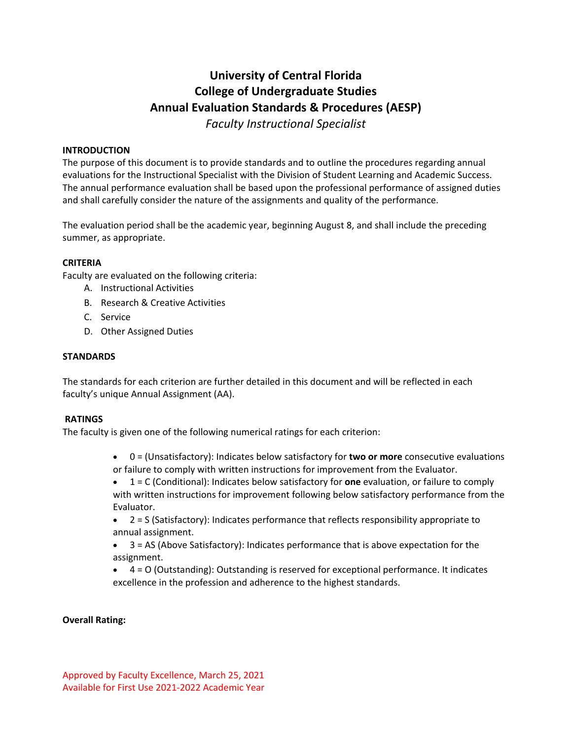# **University of Central Florida College of Undergraduate Studies Annual Evaluation Standards & Procedures (AESP)** *Faculty Instructional Specialist*

#### **INTRODUCTION**

The purpose of this document is to provide standards and to outline the procedures regarding annual evaluations for the Instructional Specialist with the Division of Student Learning and Academic Success. The annual performance evaluation shall be based upon the professional performance of assigned duties and shall carefully consider the nature of the assignments and quality of the performance. 

The evaluation period shall be the academic year, beginning August 8, and shall include the preceding summer, as appropriate. 

#### **CRITERIA**

Faculty are evaluated on the following criteria: 

- A. Instructional Activities
- B. Research & Creative Activities
- C. Service
- D. Other Assigned Duties

#### **STANDARDS**

The standards for each criterion are further detailed in this document and will be reflected in each faculty's unique Annual Assignment (AA). 

#### **RATINGS**

The faculty is given one of the following numerical ratings for each criterion:

- 0 = (Unsatisfactory): Indicates below satisfactory for **two or more** consecutive evaluations or failure to comply with written instructions for improvement from the Evaluator.
- 1 = C (Conditional): Indicates below satisfactory for **one** evaluation, or failure to comply with written instructions for improvement following below satisfactory performance from the Evaluator.
- 2 = S (Satisfactory): Indicates performance that reflects responsibility appropriate to annual assignment.
- 3 = AS (Above Satisfactory): Indicates performance that is above expectation for the assignment.
- 4 = O (Outstanding): Outstanding is reserved for exceptional performance. It indicates excellence in the profession and adherence to the highest standards.

### **Overall Rating:**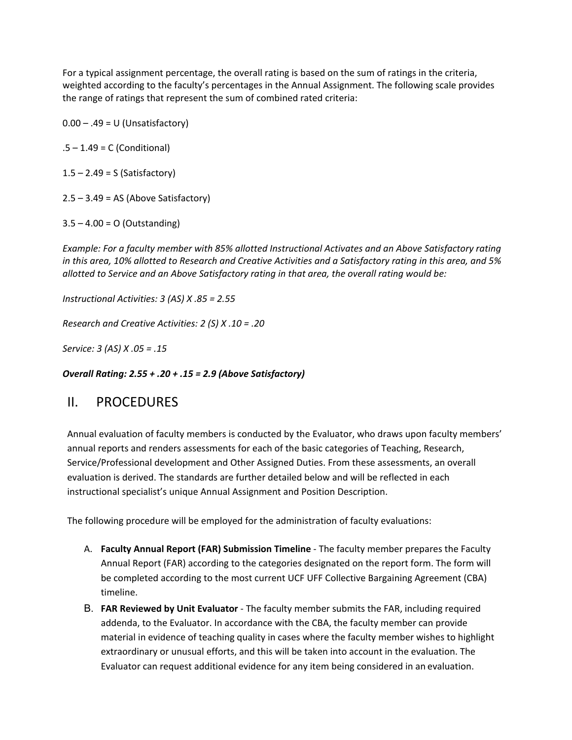For a typical assignment percentage, the overall rating is based on the sum of ratings in the criteria, weighted according to the faculty's percentages in the Annual Assignment. The following scale provides the range of ratings that represent the sum of combined rated criteria: 

 $0.00 - .49 = U$  (Unsatisfactory)

 $.5 - 1.49 = C$  (Conditional)

 $1.5 - 2.49 = S$  (Satisfactory)

 $2.5 - 3.49 = AS$  (Above Satisfactory)

 $3.5 - 4.00 = O$  (Outstanding)

*Example: For a faculty member with 85% allotted Instructional Activates and an Above Satisfactory rating in this area, 10% allotted to Research and Creative Activities and a Satisfactory rating in this area, and 5% allotted to Service and an Above Satisfactory rating in that area, the overall rating would be:*

*Instructional Activities: 3 (AS) X .85 = 2.55*

*Research and Creative Activities: 2 (S) X .10 = .20*

*Service: 3 (AS) X .05 = .15*

*Overall Rating: 2.55 + .20 + .15 = 2.9 (Above Satisfactory)*

# II. PROCEDURES

Annual evaluation of faculty members is conducted by the Evaluator, who draws upon faculty members' annual reports and renders assessments for each of the basic categories of Teaching, Research, Service/Professional development and Other Assigned Duties. From these assessments, an overall evaluation is derived. The standards are further detailed below and will be reflected in each instructional specialist's unique Annual Assignment and Position Description.

The following procedure will be employed for the administration of faculty evaluations:

- A. **Faculty Annual Report (FAR) Submission Timeline**  The faculty member prepares the Faculty Annual Report (FAR) according to the categories designated on the report form. The form will be completed according to the most current UCF UFF Collective Bargaining Agreement (CBA) timeline.
- B. **FAR Reviewed by Unit Evaluator** The faculty member submits the FAR, including required addenda, to the Evaluator. In accordance with the CBA, the faculty member can provide material in evidence of teaching quality in cases where the faculty member wishes to highlight extraordinary or unusual efforts, and this will be taken into account in the evaluation. The Evaluator can request additional evidence for any item being considered in an evaluation.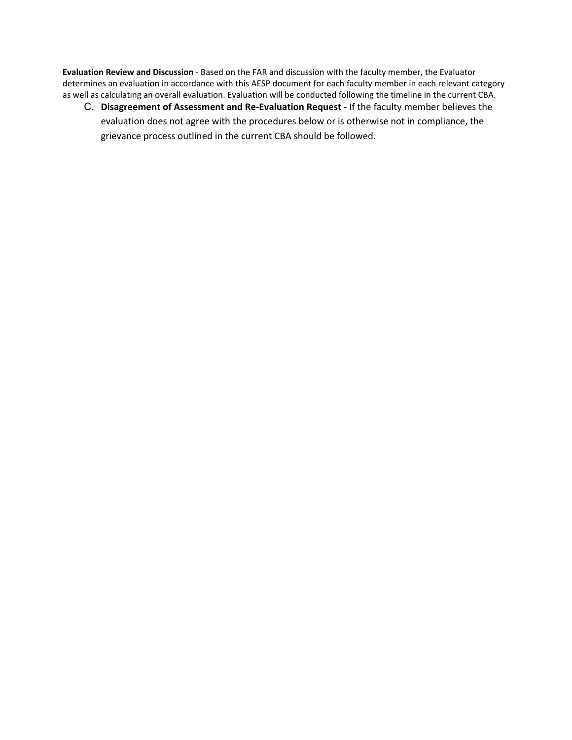**Evaluation Review and Discussion** - Based on the FAR and discussion with the faculty member, the Evaluator determines an evaluation in accordance with this AESP document for each faculty member in each relevant category as well as calculating an overall evaluation. Evaluation will be conducted following the timeline in the current CBA.

C. **Disagreement of Assessment and Re-Evaluation Request -** If the faculty member believes the evaluation does not agree with the procedures below or is otherwise not in compliance, the grievance process outlined in the current CBA should be followed.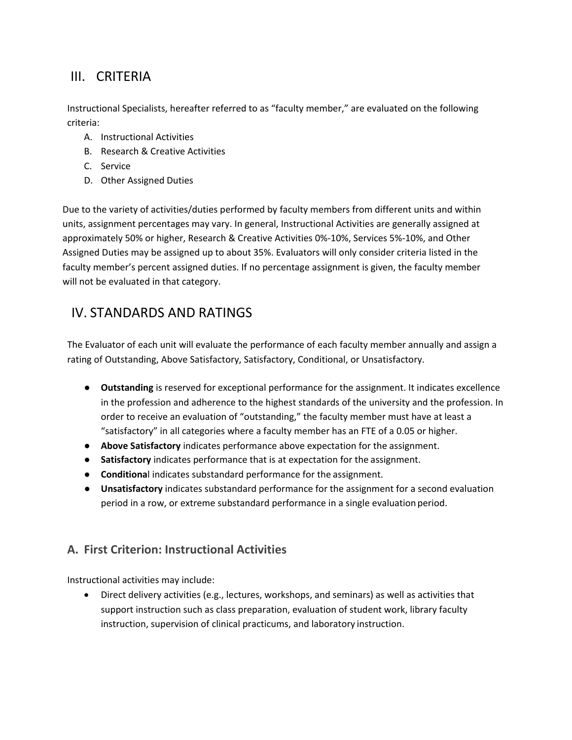# III. CRITERIA

Instructional Specialists, hereafter referred to as "faculty member," are evaluated on the following criteria:

- A. Instructional Activities
- B. Research & Creative Activities
- C. Service
- D. Other Assigned Duties

Due to the variety of activities/duties performed by faculty members from different units and within units, assignment percentages may vary. In general, Instructional Activities are generally assigned at approximately 50% or higher, Research & Creative Activities 0%-10%, Services 5%-10%, and Other Assigned Duties may be assigned up to about 35%. Evaluators will only consider criteria listed in the faculty member's percent assigned duties. If no percentage assignment is given, the faculty member will not be evaluated in that category.

# IV. STANDARDS AND RATINGS

The Evaluator of each unit will evaluate the performance of each faculty member annually and assign a rating of Outstanding, Above Satisfactory, Satisfactory, Conditional, or Unsatisfactory.

- **Outstanding** is reserved for exceptional performance for the assignment. It indicates excellence in the profession and adherence to the highest standards of the university and the profession. In order to receive an evaluation of "outstanding," the faculty member must have at least a "satisfactory" in all categories where a faculty member has an FTE of a 0.05 or higher.
- **Above Satisfactory** indicates performance above expectation for the assignment.
- **Satisfactory** indicates performance that is at expectation for the assignment.
- **Conditiona**l indicates substandard performance for the assignment.
- **Unsatisfactory** indicates substandard performance for the assignment for a second evaluation period in a row, or extreme substandard performance in a single evaluation period.

# **A. First Criterion: Instructional Activities**

Instructional activities may include:

• Direct delivery activities (e.g., lectures, workshops, and seminars) as well as activities that support instruction such as class preparation, evaluation of student work, library faculty instruction, supervision of clinical practicums, and laboratory instruction.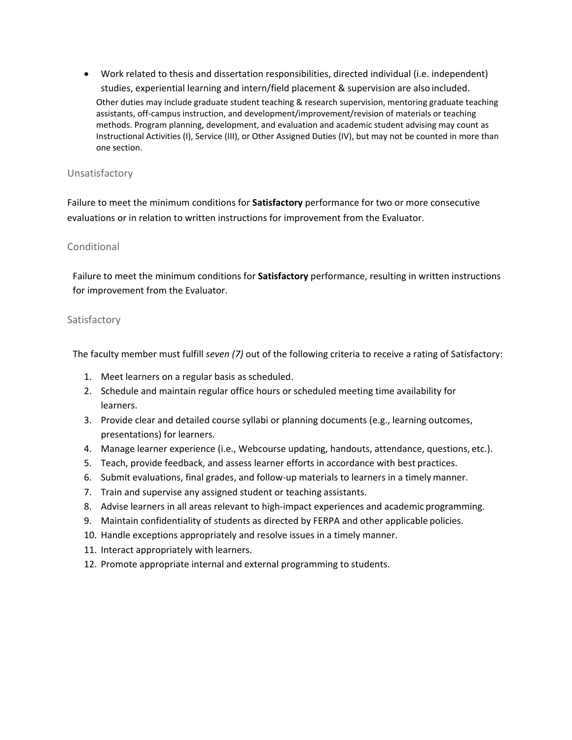• Work related to thesis and dissertation responsibilities, directed individual (i.e. independent) studies, experiential learning and intern/field placement & supervision are also included. Other duties may include graduate student teaching & research supervision, mentoring graduate teaching assistants, off-campus instruction, and development/improvement/revision of materials or teaching methods. Program planning, development, and evaluation and academic student advising may count as Instructional Activities (I), Service (III), or Other Assigned Duties (IV), but may not be counted in more than one section.

### Unsatisfactory

Failure to meet the minimum conditions for **Satisfactory** performance for two or more consecutive evaluations or in relation to written instructions for improvement from the Evaluator.

### Conditional

Failure to meet the minimum conditions for **Satisfactory** performance, resulting in written instructions for improvement from the Evaluator.

### Satisfactory

The faculty member must fulfill *seven (7)* out of the following criteria to receive a rating of Satisfactory:

- 1. Meet learners on a regular basis as scheduled.
- 2. Schedule and maintain regular office hours or scheduled meeting time availability for learners.
- 3. Provide clear and detailed course syllabi or planning documents (e.g., learning outcomes, presentations) for learners.
- 4. Manage learner experience (i.e., Webcourse updating, handouts, attendance, questions, etc.).
- 5. Teach, provide feedback, and assess learner efforts in accordance with best practices.
- 6. Submit evaluations, final grades, and follow-up materials to learners in a timely manner.
- 7. Train and supervise any assigned student or teaching assistants.
- 8. Advise learners in all areas relevant to high-impact experiences and academic programming.
- 9. Maintain confidentiality of students as directed by FERPA and other applicable policies.
- 10. Handle exceptions appropriately and resolve issues in a timely manner.
- 11. Interact appropriately with learners.
- 12. Promote appropriate internal and external programming to students.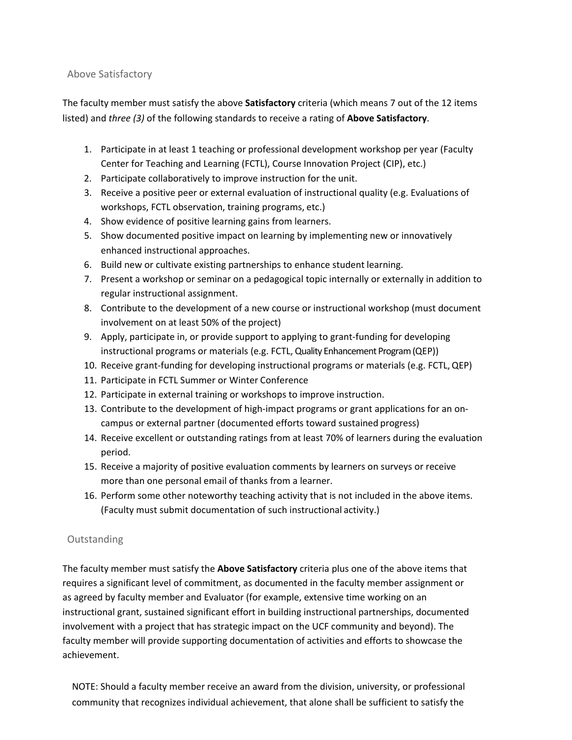# Above Satisfactory

The faculty member must satisfy the above **Satisfactory** criteria (which means 7 out of the 12 items listed) and *three (3)* of the following standards to receive a rating of **Above Satisfactory**.

- 1. Participate in at least 1 teaching or professional development workshop per year (Faculty Center for Teaching and Learning (FCTL), Course Innovation Project (CIP), etc.)
- 2. Participate collaboratively to improve instruction for the unit.
- 3. Receive a positive peer or external evaluation of instructional quality (e.g. Evaluations of workshops, FCTL observation, training programs, etc.)
- 4. Show evidence of positive learning gains from learners.
- 5. Show documented positive impact on learning by implementing new or innovatively enhanced instructional approaches.
- 6. Build new or cultivate existing partnerships to enhance student learning.
- 7. Present a workshop or seminar on a pedagogical topic internally or externally in addition to regular instructional assignment.
- 8. Contribute to the development of a new course or instructional workshop (must document involvement on at least 50% of the project)
- 9. Apply, participate in, or provide support to applying to grant-funding for developing instructional programs or materials (e.g. FCTL, Quality Enhancement Program (QEP))
- 10. Receive grant-funding for developing instructional programs or materials (e.g. FCTL,QEP)
- 11. Participate in FCTL Summer or Winter Conference
- 12. Participate in external training or workshops to improve instruction.
- 13. Contribute to the development of high-impact programs or grant applications for an oncampus or external partner (documented efforts toward sustained progress)
- 14. Receive excellent or outstanding ratings from at least 70% of learners during the evaluation period.
- 15. Receive a majority of positive evaluation comments by learners on surveys or receive more than one personal email of thanks from a learner.
- 16. Perform some other noteworthy teaching activity that is not included in the above items. (Faculty must submit documentation of such instructional activity.)

# Outstanding

The faculty member must satisfy the **Above Satisfactory** criteria plus one of the above items that requires a significant level of commitment, as documented in the faculty member assignment or as agreed by faculty member and Evaluator (for example, extensive time working on an instructional grant, sustained significant effort in building instructional partnerships, documented involvement with a project that has strategic impact on the UCF community and beyond). The faculty member will provide supporting documentation of activities and efforts to showcase the achievement.

NOTE: Should a faculty member receive an award from the division, university, or professional community that recognizes individual achievement, that alone shall be sufficient to satisfy the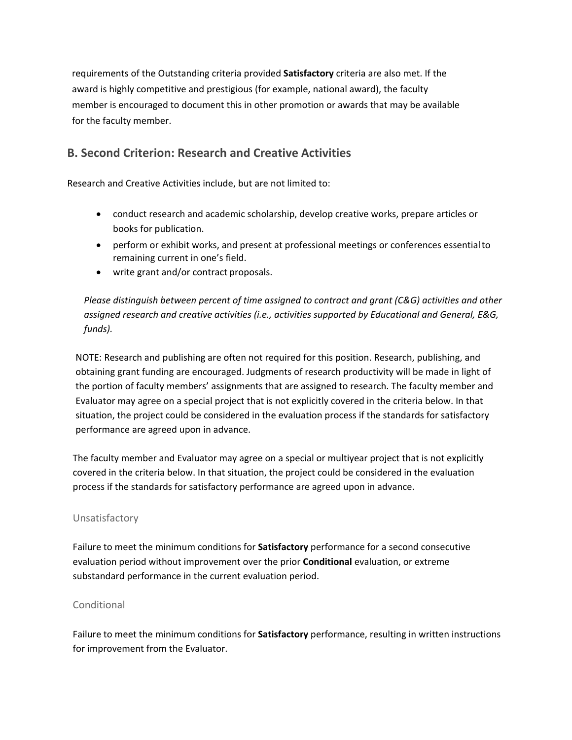requirements of the Outstanding criteria provided **Satisfactory** criteria are also met. If the award is highly competitive and prestigious (for example, national award), the faculty member is encouraged to document this in other promotion or awards that may be available for the faculty member.

# **B. Second Criterion: Research and Creative Activities**

Research and Creative Activities include, but are not limited to:

- conduct research and academic scholarship, develop creative works, prepare articles or books for publication.
- perform or exhibit works, and present at professional meetings or conferences essentialto remaining current in one's field.
- write grant and/or contract proposals.

*Please distinguish between percent of time assigned to contract and grant (C&G) activities and other assigned research and creative activities (i.e., activities supported by Educational and General, E&G, funds).*

NOTE: Research and publishing are often not required for this position. Research, publishing, and obtaining grant funding are encouraged. Judgments of research productivity will be made in light of the portion of faculty members' assignments that are assigned to research. The faculty member and Evaluator may agree on a special project that is not explicitly covered in the criteria below. In that situation, the project could be considered in the evaluation process if the standards for satisfactory performance are agreed upon in advance.

The faculty member and Evaluator may agree on a special or multiyear project that is not explicitly covered in the criteria below. In that situation, the project could be considered in the evaluation process if the standards for satisfactory performance are agreed upon in advance.

### Unsatisfactory

Failure to meet the minimum conditions for **Satisfactory** performance for a second consecutive evaluation period without improvement over the prior **Conditional** evaluation, or extreme substandard performance in the current evaluation period.

### Conditional

Failure to meet the minimum conditions for **Satisfactory** performance, resulting in written instructions for improvement from the Evaluator.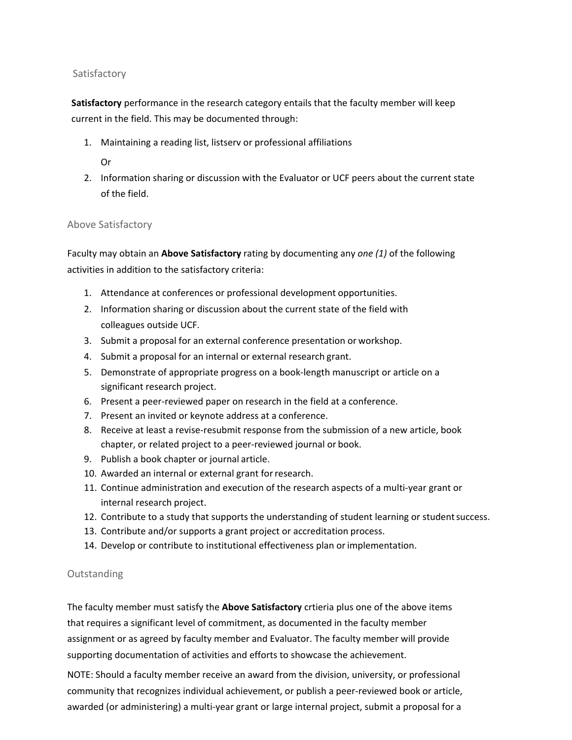### Satisfactory

**Satisfactory** performance in the research category entails that the faculty member will keep current in the field. This may be documented through:

- 1. Maintaining a reading list, listserv or professional affiliations
	- Or
- 2. Information sharing or discussion with the Evaluator or UCF peers about the current state of the field.

### Above Satisfactory

Faculty may obtain an **Above Satisfactory** rating by documenting any *one (1)* of the following activities in addition to the satisfactory criteria:

- 1. Attendance at conferences or professional development opportunities.
- 2. Information sharing or discussion about the current state of the field with colleagues outside UCF.
- 3. Submit a proposal for an external conference presentation or workshop.
- 4. Submit a proposal for an internal or external research grant.
- 5. Demonstrate of appropriate progress on a book-length manuscript or article on a significant research project.
- 6. Present a peer-reviewed paper on research in the field at a conference.
- 7. Present an invited or keynote address at a conference.
- 8. Receive at least a revise-resubmit response from the submission of a new article, book chapter, or related project to a peer-reviewed journal or book.
- 9. Publish a book chapter or journal article.
- 10. Awarded an internal or external grant forresearch.
- 11. Continue administration and execution of the research aspects of a multi-year grant or internal research project.
- 12. Contribute to a study that supports the understanding of student learning or studentsuccess.
- 13. Contribute and/or supports a grant project or accreditation process.
- 14. Develop or contribute to institutional effectiveness plan orimplementation.

### **Outstanding**

The faculty member must satisfy the **Above Satisfactory** crtieria plus one of the above items that requires a significant level of commitment, as documented in the faculty member assignment or as agreed by faculty member and Evaluator. The faculty member will provide supporting documentation of activities and efforts to showcase the achievement.

NOTE: Should a faculty member receive an award from the division, university, or professional community that recognizes individual achievement, or publish a peer-reviewed book or article, awarded (or administering) a multi-year grant or large internal project, submit a proposal for a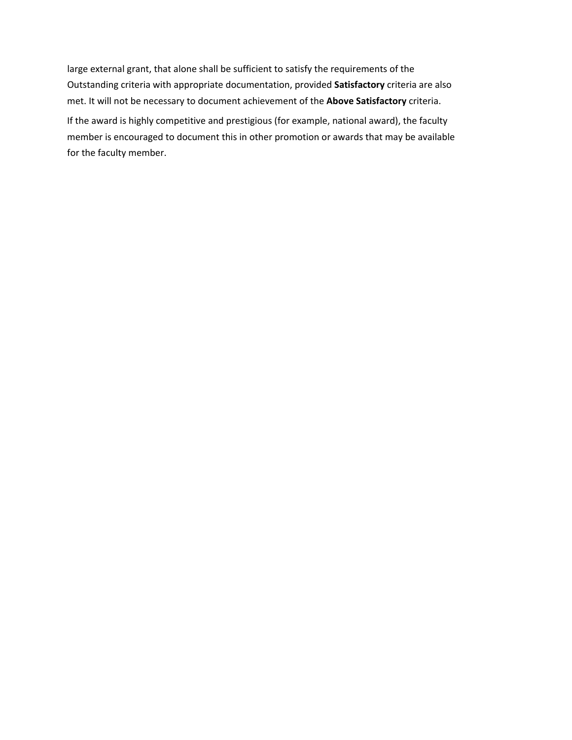large external grant, that alone shall be sufficient to satisfy the requirements of the Outstanding criteria with appropriate documentation, provided **Satisfactory** criteria are also met. It will not be necessary to document achievement of the **Above Satisfactory** criteria.

If the award is highly competitive and prestigious (for example, national award), the faculty member is encouraged to document this in other promotion or awards that may be available for the faculty member.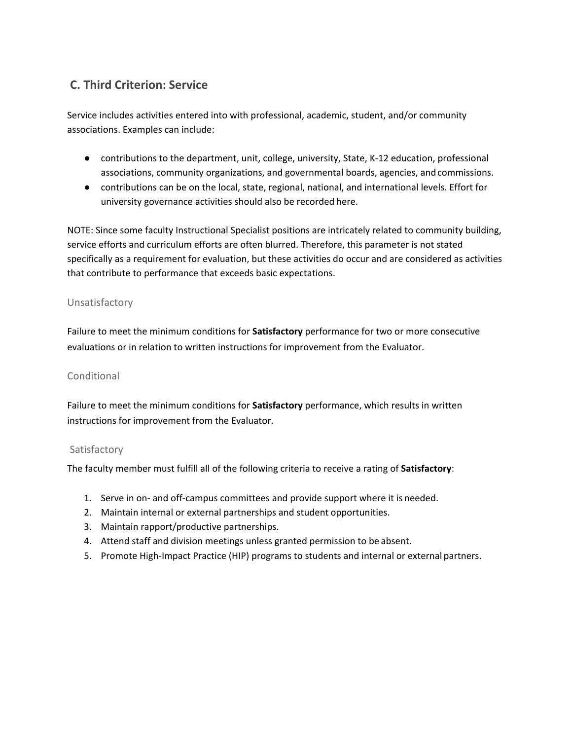# **C. Third Criterion: Service**

Service includes activities entered into with professional, academic, student, and/or community associations. Examples can include:

- contributions to the department, unit, college, university, State, K-12 education, professional associations, community organizations, and governmental boards, agencies, andcommissions.
- contributions can be on the local, state, regional, national, and international levels. Effort for university governance activities should also be recorded here.

NOTE: Since some faculty Instructional Specialist positions are intricately related to community building, service efforts and curriculum efforts are often blurred. Therefore, this parameter is not stated specifically as a requirement for evaluation, but these activities do occur and are considered as activities that contribute to performance that exceeds basic expectations.

# Unsatisfactory

Failure to meet the minimum conditions for **Satisfactory** performance for two or more consecutive evaluations or in relation to written instructions for improvement from the Evaluator.

# **Conditional**

Failure to meet the minimum conditions for **Satisfactory** performance, which results in written instructions for improvement from the Evaluator.

# Satisfactory

The faculty member must fulfill all of the following criteria to receive a rating of **Satisfactory**:

- 1. Serve in on- and off-campus committees and provide support where it is needed.
- 2. Maintain internal or external partnerships and student opportunities.
- 3. Maintain rapport/productive partnerships.
- 4. Attend staff and division meetings unless granted permission to be absent.
- 5. Promote High-Impact Practice (HIP) programs to students and internal or external partners.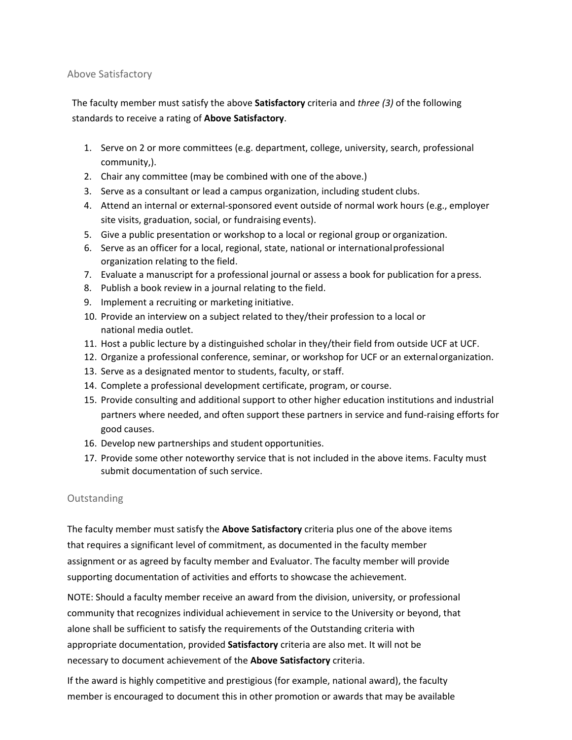### Above Satisfactory

The faculty member must satisfy the above **Satisfactory** criteria and *three (3)* of the following standards to receive a rating of **Above Satisfactory**.

- 1. Serve on 2 or more committees (e.g. department, college, university, search, professional community,).
- 2. Chair any committee (may be combined with one of the above.)
- 3. Serve as a consultant or lead a campus organization, including student clubs.
- 4. Attend an internal or external-sponsored event outside of normal work hours (e.g., employer site visits, graduation, social, or fundraising events).
- 5. Give a public presentation or workshop to a local or regional group or organization.
- 6. Serve as an officer for a local, regional, state, national or internationalprofessional organization relating to the field.
- 7. Evaluate a manuscript for a professional journal or assess a book for publication for apress.
- 8. Publish a book review in a journal relating to the field.
- 9. Implement a recruiting or marketing initiative.
- 10. Provide an interview on a subject related to they/their profession to a local or national media outlet.
- 11. Host a public lecture by a distinguished scholar in they/their field from outside UCF at UCF.
- 12. Organize a professional conference, seminar, or workshop for UCF or an externalorganization.
- 13. Serve as a designated mentor to students, faculty, or staff.
- 14. Complete a professional development certificate, program, or course.
- 15. Provide consulting and additional support to other higher education institutions and industrial partners where needed, and often support these partners in service and fund-raising efforts for good causes.
- 16. Develop new partnerships and student opportunities.
- 17. Provide some other noteworthy service that is not included in the above items. Faculty must submit documentation of such service.

# **Outstanding**

The faculty member must satisfy the **Above Satisfactory** criteria plus one of the above items that requires a significant level of commitment, as documented in the faculty member assignment or as agreed by faculty member and Evaluator. The faculty member will provide supporting documentation of activities and efforts to showcase the achievement.

NOTE: Should a faculty member receive an award from the division, university, or professional community that recognizes individual achievement in service to the University or beyond, that alone shall be sufficient to satisfy the requirements of the Outstanding criteria with appropriate documentation, provided **Satisfactory** criteria are also met. It will not be necessary to document achievement of the **Above Satisfactory** criteria.

If the award is highly competitive and prestigious (for example, national award), the faculty member is encouraged to document this in other promotion or awards that may be available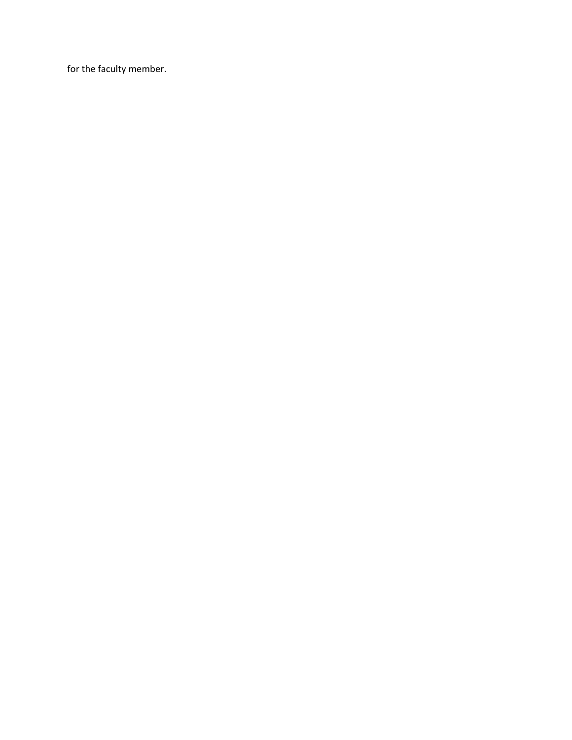for the faculty member.